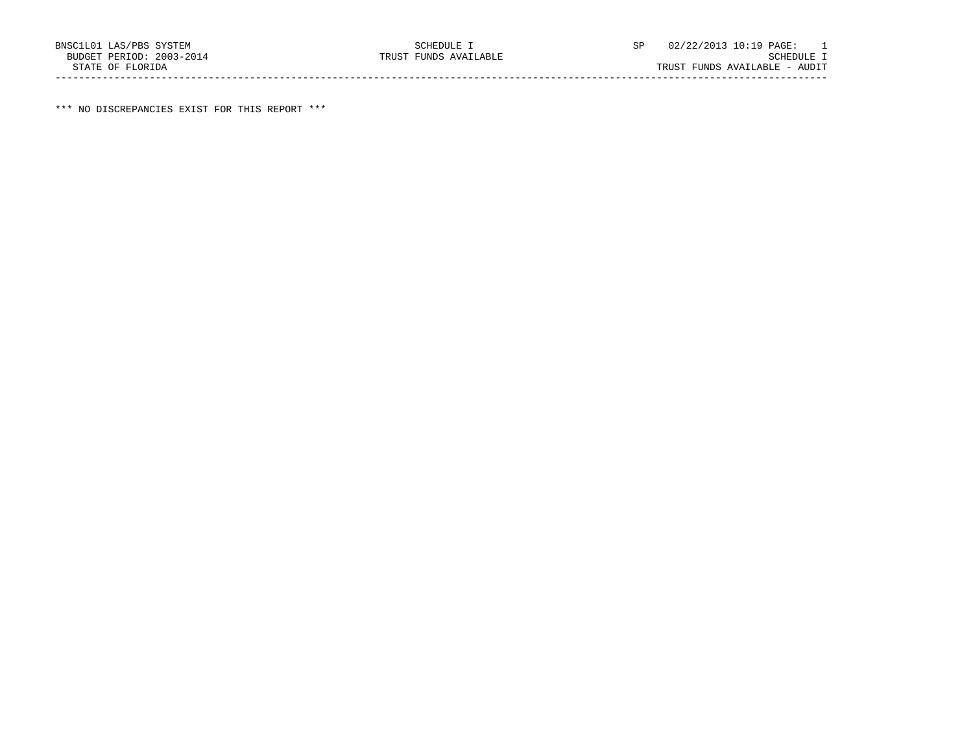\*\*\* NO DISCREPANCIES EXIST FOR THIS REPORT \*\*\*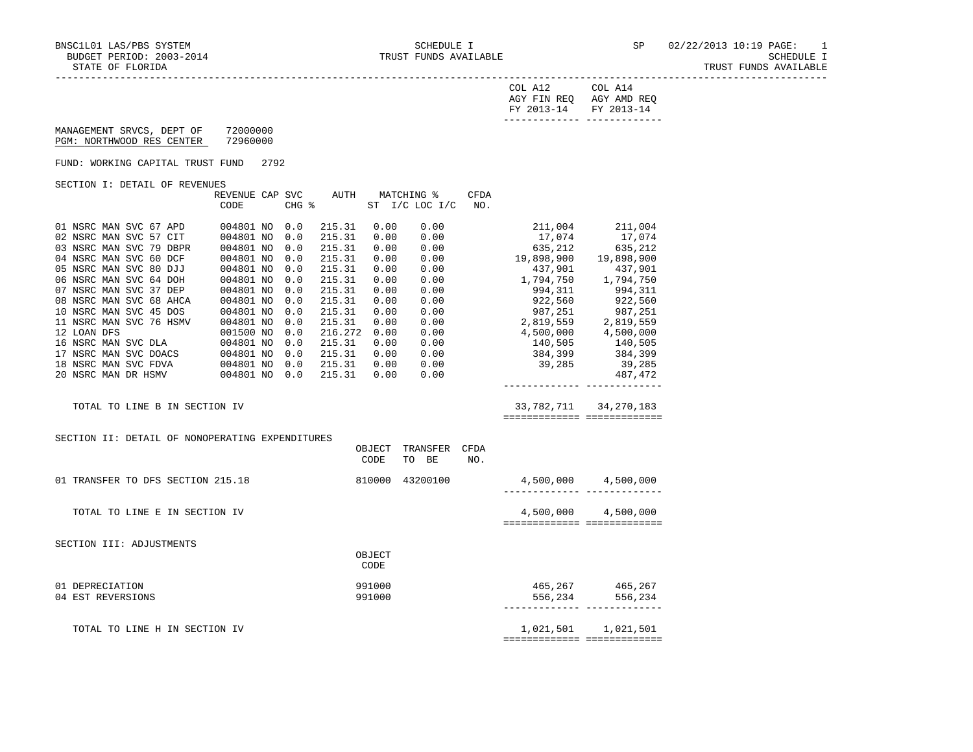TRUST FUNDS AVAILABLE

|  | TATE OF FLORIDA |
|--|-----------------|
|  |                 |

| $\gamma$ nt.<br>AGY FIN REQ<br>--<br>FY 2013-14 | ി∩⊤<br>AGY AMD REQ<br>FY 2013-14<br>--------- ------------- |
|-------------------------------------------------|-------------------------------------------------------------|
|                                                 |                                                             |

 MANAGEMENT SRVCS, DEPT OF 72000000 PGM: NORTHWOOD RES CENTER 72960000

FUND: WORKING CAPITAL TRUST FUND 2792

SECTION I: DETAIL OF REVENUES

| OBCIION I: DEIAIU OF KEVENCEO    |                |            |         |      |                 |      |            |            |
|----------------------------------|----------------|------------|---------|------|-----------------|------|------------|------------|
|                                  | REVENUE<br>CAP | <b>SVC</b> | AUTH    |      | MATCHING %      | CFDA |            |            |
|                                  | CODE           | CHG %      |         | ST   | $I/C$ LOC $I/C$ | NO.  |            |            |
|                                  |                |            |         |      |                 |      |            |            |
| 01 NSRC MAN SVC 67 APD           | 004801 NO      | 0.0        | 215.31  | 0.00 | 0.00            |      | 211,004    | 211,004    |
| 02 NSRC MAN SVC 57<br>CIT        | 004801 NO      | 0.0        | 215.31  | 0.00 | 0.00            |      | 17,074     | 17,074     |
| 03 NSRC MAN SVC 79 DBPR          | 004801 NO      | 0.0        | 215.31  | 0.00 | 0.00            |      | 635,212    | 635,212    |
| 04 NSRC MAN SVC 60 DCF           | 004801 NO      | 0.0        | 215.31  | 0.00 | 0.00            |      | 19,898,900 | 19,898,900 |
| 05 NSRC MAN SVC 80 DJJ           | 004801 NO      | 0.0        | 215.31  | 0.00 | 0.00            |      | 437,901    | 437,901    |
| 06 NSRC MAN SVC 64<br><b>DOH</b> | 004801 NO      | 0.0        | 215.31  | 0.00 | 0.00            |      | 1,794,750  | 1,794,750  |
| NSRC MAN SVC 37 DEP<br>07        | 004801 NO      | 0.0        | 215.31  | 0.00 | 0.00            |      | 994, 311   | 994,311    |
| 08 NSRC MAN SVC 68 AHCA          | 004801 NO      | 0.0        | 215.31  | 0.00 | 0.00            |      | 922,560    | 922,560    |
| 10 NSRC MAN SVC 45 DOS           | 004801 NO      | 0.0        | 215.31  | 0.00 | 0.00            |      | 987,251    | 987,251    |
| 11 NSRC MAN SVC 76 HSMV          | 004801 NO      | 0.0        | 215.31  | 0.00 | 0.00            |      | 2,819,559  | 2,819,559  |
| 12 LOAN DFS                      | 001500 NO      | 0.0        | 216.272 | 0.00 | 0.00            |      | 4,500,000  | 4,500,000  |
| 16 NSRC MAN SVC DLA              | 004801 NO      | 0.0        | 215.31  | 0.00 | 0.00            |      | 140,505    | 140,505    |
| 17 NSRC MAN SVC DOACS            | 004801 NO      | 0.0        | 215.31  | 0.00 | 0.00            |      | 384,399    | 384,399    |
| 18 NSRC MAN SVC FDVA             | 004801 NO      | 0.0        | 215.31  | 0.00 | 0.00            |      | 39,285     | 39,285     |
| 20 NSRC MAN DR HSMV              | 004801 NO      | 0.0        | 215.31  | 0.00 | 0.00            |      |            | 487,472    |
|                                  |                |            |         |      |                 |      |            |            |

TOTAL TO LINE B IN SECTION IV 33,782,711 34,270,183

============= =============

SECTION II: DETAIL OF NONOPERATING EXPENDITURES

|                                   | OBJECT<br>CODE | TRANSFER<br>BE<br>TO | CFDA<br>NO. |           |           |
|-----------------------------------|----------------|----------------------|-------------|-----------|-----------|
| 01 TRANSFER TO DFS SECTION 215.18 | 810000         | 43200100             |             | 4,500,000 | 4,500,000 |
| TOTAL TO LINE E IN SECTION IV     |                |                      |             | 4,500,000 | 4,500,000 |
| SECTION III: ADJUSTMENTS          |                |                      |             |           |           |
|                                   | OBJECT<br>CODE |                      |             |           |           |
| 01 DEPRECIATION                   | 991000         |                      |             | 465,267   | 465,267   |
| 04 EST REVERSIONS                 | 991000         |                      |             | 556,234   | 556,234   |
| TOTAL TO LINE H IN SECTION IV     |                |                      |             | 1,021,501 | 1,021,501 |